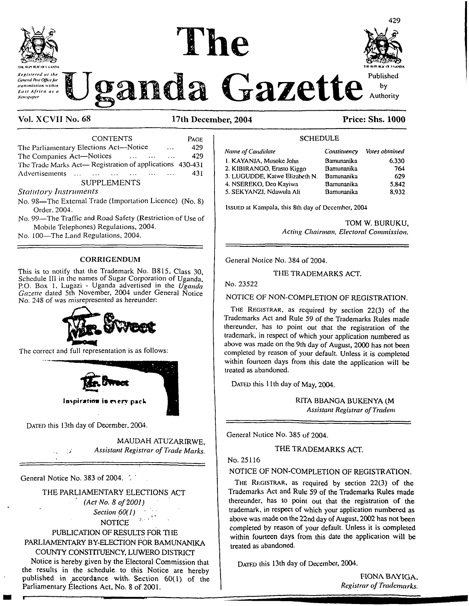



429

# *Xtfisfered nt the* **~~V" "^3** *<sup>A</sup> <sup>A</sup>* Published H Joanda Gazette *Constitution with* Uganda Gazette Authority

## **Vol. XCVII No. 68 17th December, 2004 Price: Shs. 1000**

| <b>CONTENTS</b>                                                     | <b>PAGE</b> |
|---------------------------------------------------------------------|-------------|
| The Parliamentary Elections Act—Notice<br>$\cdots$                  | 429         |
| The Companies Act-Notices<br>the contract of the second contract of | 429         |
| The Trade Marks Act—Registration of applications 430-431            |             |
| Advertisements                                                      | 431         |
| <b>SUPPLEMENTS</b>                                                  |             |

#### *Statutory Instruments*

- No. 98—The External Trade (Importation Licence) (No. 8) Order. 2004.
- No. 99—The Traffic and Road Safety (Restriction of Use of Mobile Telephones) Regulations, 2004.
- No. 100—The Land Regulations, 2004.

#### CORRIGENDUM

This is to notify that the Trademark No. B815, Class 30, Schedule III in the names of Sugar Corporation of Uganda, P.O. Box 1, Lugazi - Uganda advertised in the *Uganda Gazette* dated 5th November, 2004 under General Notice No. 248 of was misrepresented as hereunder:



The correct and full representation is as follows:



DATED this 13th day of December, 2004.

MAUDAH ATUZARIRWE, *Assistant Registrar of Trade Marks.*

General Notice No. 383 of 2004.

#### THE PARLIAMENTARY ELECTIONS ACT

*(Act No. 8 of2001) Section 60(1) ' <sup>t</sup>* NOTICE<sup>®</sup>

#### PUBLICATION OF RESULTS FOR THE PARLIAMENTARY BY-ELECTION FOR BAMUNANIKA COUNTY CONSTITUENCY, LUWERO DISTRICT

Notice is hereby given by the Electoral Commission that the results in the schedule, to this Notice are hereby published in  $\arccos$  accordance with. Section 60(1) of the Parliamentary Elections Act, No. 8 of 2001.

| Name of Candidate              | Constituency | Votes obtained |
|--------------------------------|--------------|----------------|
| 1. KAYANJA, Musoke John        | Bamunanika   | 6.330          |
| 2. KIBIRANGO, Erasto Kiggo     | Bamunanika   | 764            |
| 3. LUGUDDE, Katwe Elizabeth N. | Bamunanika   | 629            |
| 4. NSEREKO, Deo Kayiwa         | Bamunanika   | 5.842          |
| 5. SEKYANZI, Ndawula Ali       | Bamunanika   | 8,932          |
|                                |              |                |

SCHEDULE

Issued at Kampala, this 8th day of December, 2004

TOM W. BURUKU, *Acting Chairman, Electoral Commission,*

General Notice No. 384 of 2004.

#### THE TRADEMARKS ACT.

#### No. 23522

#### NOTICE OF NON-COMPLETION OF REGISTRATION.

**The Registrar,** as required by section 22(3) of the Trademarks Act and Rule 59 of the Trademarks Rules made thereunder, has to point out that the registration of the trademark, in respect of which your application numbered as above was made on the 9th day of August, 2000 has not been completed by reason of your default. Unless it is completed within fourteen days from this date the application will be treated as abandoned.

DATED this 11th day of May, 2004.

RITA BBANGA BUKENYA (M *Assistant Registrar ofTradem*

General Notice No. 385 of 2004.

#### THE TRADEMARKS ACT.

## No. 25116

#### NOTICE OF NON-COMPLETION OF REGISTRATION.

**The Registrar,** as required by section 22(3) of the Trademarks Act and Rule 59 of the Trademarks Rules made thereunder, has to point out that the registration of the trademark, in respect of which your application numbered as above was made on the 22nd day of August, 2002 has not been completed by reason of your default. Unless it is completed within fourteen days from this date the application will be treated as abandoned.

DATED this 13th day of December, 2004.

FIONA BAY1GA. *Registrar ofTrademarks.*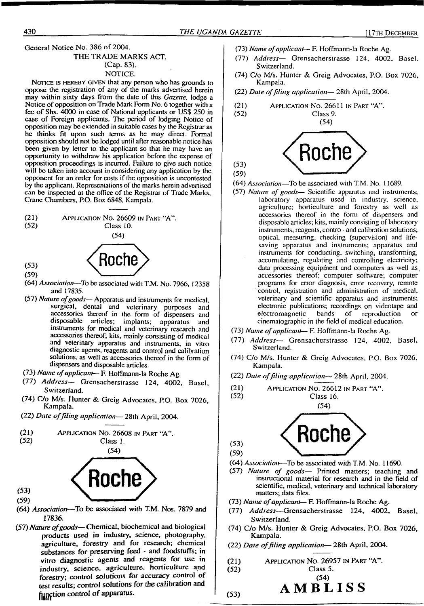**General Notice No. 386 of 2004.**

#### **THE TRADE MARKS ACT. (Cap. 83). NOTICE.**

Notice is hereby given **that any person who has grounds to oppose the registration of any of the marks advertised herein may within sixty days from the date of this** *Gazette,* **lodge a Notice of opposition on Trade Mark Form No. 6 together with a fee of Shs. 4000 in case of National applicants or US\$ 250 in case of Foreign applicants. The period of lodging Notice of opposition may be extended in suitable cases by the Registrar as he thinks fit upon such terms as he may direct. Formal opposition should not be lodged until after reasonable notice has been given by letter to the applicant so that he may have an opportunity to withdraw his application before the expense of opposition proceedings is incurred. Failure to give such notice will be taken into account in considering any application by the opponent for an order for costs if the opposition is uncontested by the applicant. Representations ofthe marks herein advertised can be inspected at the office of the Registrar of Trade Marks, Crane Chambers, RO. Box 6848, Kampala.**

**(21)** Application No. **26609** in Part **"A". (52) Class 10.**



- **(53) (59)**
- **(64)** *Association***—To be associated with T.M. No. 7966, 12358 and 17835.**
- **(57)** *Nature ofgoods—* **Apparatus and instruments for medical, surgical, dental and veterinary purposes and accessories thereof in the form of dispensers and disposable articles; implants; apparatus and instruments for medical and veterinary research and accessories thereof; kits, mainly consisting of medical and veterinary apparatus and instruments, in vitro diagnostic agents, reagents and control and calibration solutions, as well as accessories thereof in the form of dispensers and disposable articles.**
- **(73)** *Name ofapplicant—* **F. Hoffmann-la Roche Ag.**
- **(77)** *Address—* **Grensacherstrasse 124, 4002, Basel, Switzerland.**
- **(74) C/o M/s. Hunter & Greig Advocates, RO. Box 7026, Kampala.**
- **(22)** *Date offiling application—* **28th April, 2004.**





- $(53)$  $(59)$
- **(64)** *Association***—To be associated with T.M. Nos. 7879 and 17836.**
- **(57)** *Nature ofgoods***—Chemical, biochemical and biological products used in industry, science, photography, agriculture, forestry and for research; chemical substances for preserving feed - and foodstuffs; in vitro diagnostic agents and reagents for use in industry, science, agriculture, horticulture and forestry; control solutions for accuracy control of test results; control solutions for the calibration and function control of apparatus.**

**(73)** *Name ofapplicant***— F. Hoffmann-la Roche Ag.**

- **(77)** *Address—* **Grensacherstrasse 124, 4002, Basel. Switzerland.**
- **(74) C/o M/s. Hunter & Greig Advocates, P.O. Box 7026, Kampala.**
- **(22)** *Dale offiling application—* **28th April, 2004.**

**(21)** Application No. **26611** in Part **"A".**

**(52) Class 9.**



**(64)** *Association—***To be associated with T.M. No. 11689.**

- **(57)** *Nature of goods—* **Scientific apparatus and instruments; laboratory apparatus used in industry, science, agriculture; horticulture and forestry as well as accessories thereof in the form of dispensers and disposable articles; kits, mainly consisting oflaboratory instruments, reagents, contro - and calibration solutions; optical, measuring, checking (supervision) and lifesaving apparatus and instruments; apparatus and instruments for conducting, switching, transforming, accumulating, regulating and controlling electricity; data processing equipment and computers as well as accessories thereof; computer software; computer programs for error diagnosis, error recovery, remote control, registration and administration of medical, veterinary and scientific apparatus and instruments; electronic publications; recordings on videotape and**  $\theta$  **electromagnetic cinematographic in the field of medical education.**
- **(73)** *Name ofapplicant***— F. Hoffmann-la Roche Ag.**
- **(77)** *Address—* **Grensacherstrasse 124, 4002, Basel, Switzerland.**
- **(74) C/o M/s. Hunter & Greig Advocates, P.O. Box 7026, Kampala.**
- **(22)** *Date offiling application—* **28th April, 2004.**

(21) **APPLICATION NO.** 
$$
26612
$$
 in Part "A".

**(52) Class 16. (54)**

$$
\overbrace{\text{Roche}}^{\scriptscriptstyle{(54)}}
$$

**(53)**

 $(53)$ 

- 
- **(64)** *Association—***To be associated with T.M. No. 11690.**
- **(57)** *Nature of goods—* **Printed matters; teaching and instructional material for research and in the field of scientific, medical, veterinary and technical laboratory matters; data files.**
- **(73)** *Name ofapplicant***— F. Hoffmann-la Roche Ag.**
- **(77)** *Address-***—Grensacherstrasse 124, 4002, Basel, Switzerland.**
- **(74) C/o M/s. Hunter & Greig Advocates, P.O. Box 7026, Kampala.**
- **(22)** *Date offiling application—* **28th April, 2004.**
- **(21)** Application No. **26957** in Part **"A".**

**(52) Class 5.**

**(54) A M B L I S S**